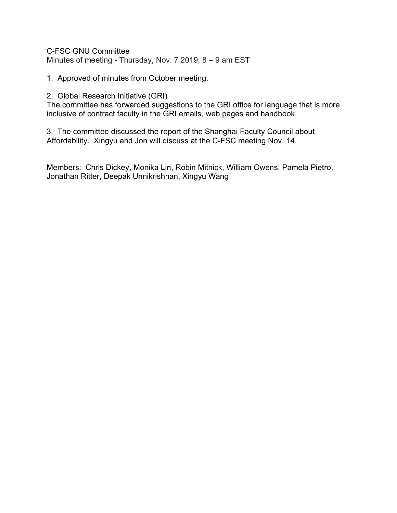C-FSC GNU Committee Minutes of meeting - Thursday, Nov. 7 2019, 8 – 9 am EST

1. Approved of minutes from October meeting.

## 2. Global Research Initiative (GRI)

The committee has forwarded suggestions to the GRI office for language that is more inclusive of contract faculty in the GRI emails, web pages and handbook.

3. The committee discussed the report of the Shanghai Faculty Council about Affordability. Xingyu and Jon will discuss at the C-FSC meeting Nov. 14.

Members: Chris Dickey, Monika Lin, Robin Mitnick, William Owens, Pamela Pietro, Jonathan Ritter, Deepak Unnikrishnan, Xingyu Wang